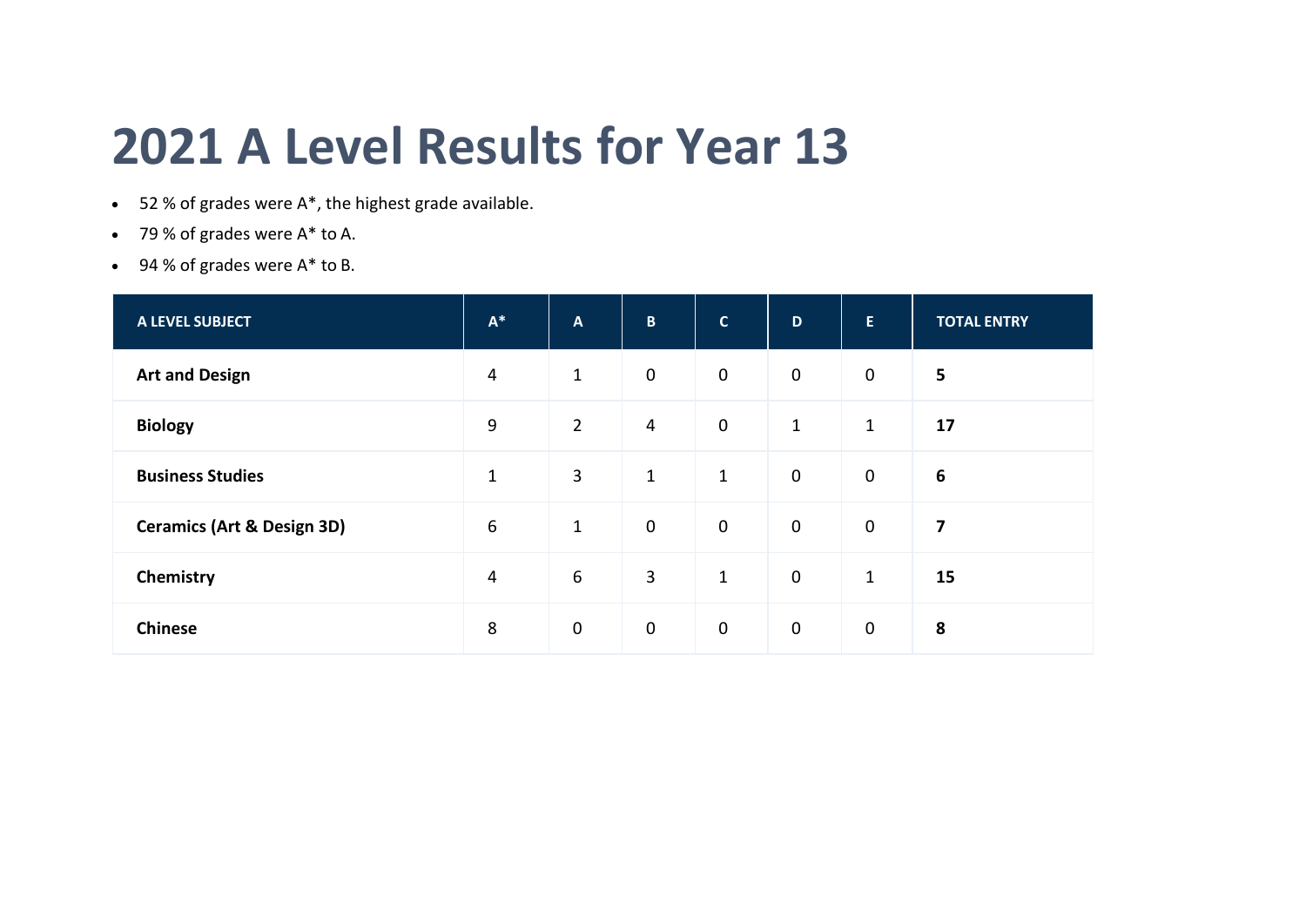## **2021 A Level Results for Year 13**

- 52 % of grades were A\*, the highest grade available.
- 79 % of grades were A\* to A.
- $\bullet$  94 % of grades were  $A^*$  to B.

| <b>A LEVEL SUBJECT</b>                | $\mathsf{A}^{*}$ | $\mathbf{A}$   | $\mathbf{B}$   | $\mathbf{C}$ | D            | E.             | <b>TOTAL ENTRY</b>      |
|---------------------------------------|------------------|----------------|----------------|--------------|--------------|----------------|-------------------------|
| <b>Art and Design</b>                 | 4                | $\mathbf{1}$   | $\mathbf 0$    | $\mathbf 0$  | $\mathbf 0$  | $\overline{0}$ | 5                       |
| <b>Biology</b>                        | 9                | $\overline{2}$ | $\overline{4}$ | $\mathbf 0$  | $\mathbf{1}$ | $\mathbf{1}$   | 17                      |
| <b>Business Studies</b>               | $\mathbf{1}$     | $\mathbf{3}$   | $\mathbf{1}$   | $\mathbf{1}$ | $\mathbf 0$  | $\mathbf 0$    | 6                       |
| <b>Ceramics (Art &amp; Design 3D)</b> | 6                | $\mathbf 1$    | $\mathbf 0$    | $\mathbf 0$  | $\mathbf 0$  | $\mathbf 0$    | $\overline{\mathbf{z}}$ |
| Chemistry                             | $\overline{4}$   | 6              | $\overline{3}$ | $\mathbf{1}$ | $\mathbf 0$  | $\mathbf 1$    | 15                      |
| <b>Chinese</b>                        | 8                | $\mathbf 0$    | $\mathbf 0$    | $\mathbf 0$  | $\mathbf 0$  | $\mathbf 0$    | 8                       |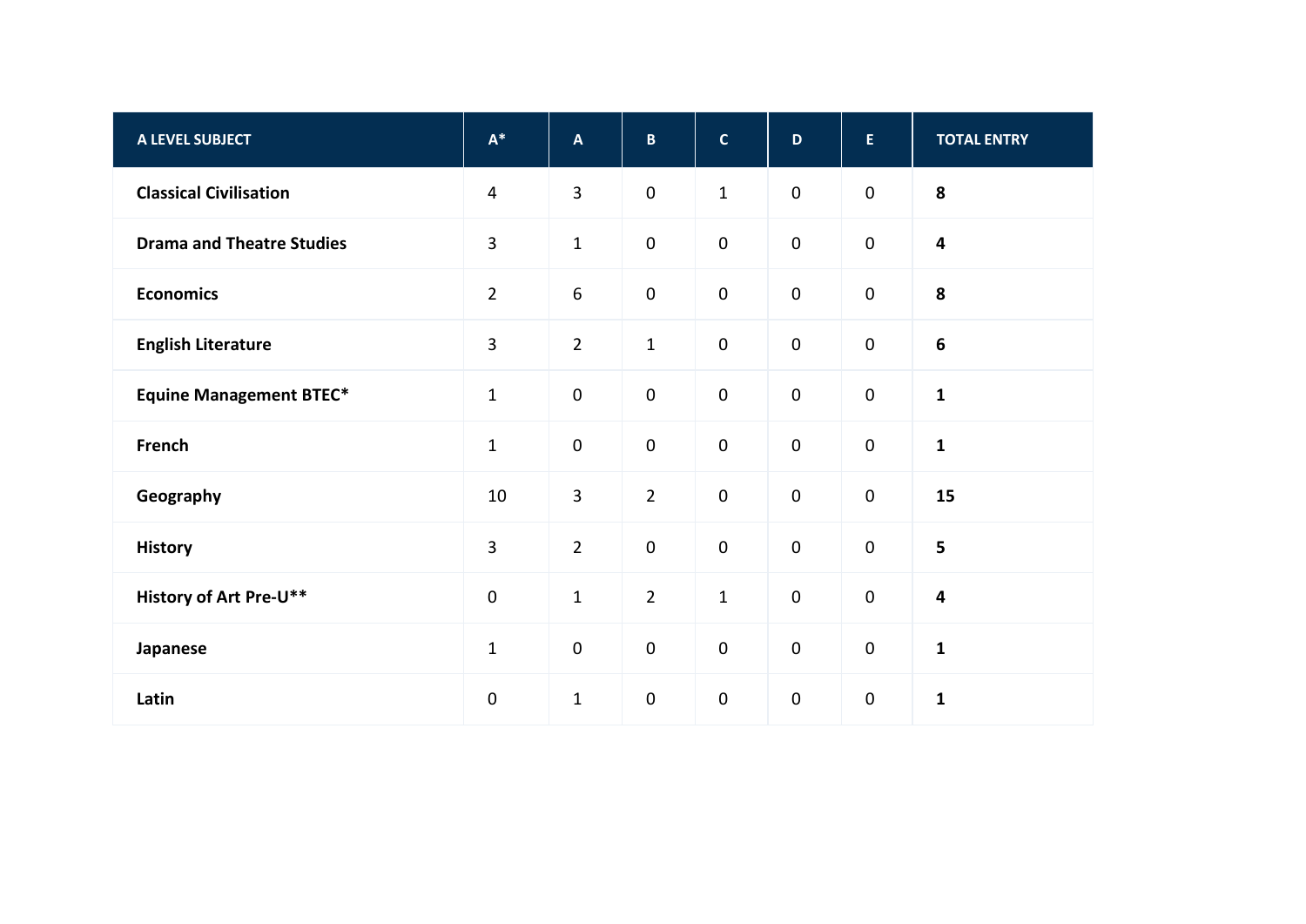| A LEVEL SUBJECT                  | $\mathsf{A}^*$ | $\boldsymbol{\mathsf{A}}$ | $\mathbf B$         | $\mathbf{C}$ | $\mathbf{D}$     | $\mathsf E$ | <b>TOTAL ENTRY</b>      |
|----------------------------------|----------------|---------------------------|---------------------|--------------|------------------|-------------|-------------------------|
| <b>Classical Civilisation</b>    | $\overline{4}$ | $\overline{3}$            | $\mathbf 0$         | $\mathbf 1$  | $\mathbf 0$      | $\pmb{0}$   | 8                       |
| <b>Drama and Theatre Studies</b> | $\overline{3}$ | $\mathbf 1$               | $\mathbf 0$         | $\pmb{0}$    | $\mathbf 0$      | $\mathbf 0$ | $\overline{\mathbf{4}}$ |
| <b>Economics</b>                 | $\overline{2}$ | $\boldsymbol{6}$          | $\mathbf 0$         | $\pmb{0}$    | $\mathbf 0$      | $\pmb{0}$   | 8                       |
| <b>English Literature</b>        | $\overline{3}$ | $\overline{2}$            | $\mathbf{1}$        | $\pmb{0}$    | $\mathbf 0$      | $\pmb{0}$   | $\boldsymbol{6}$        |
| <b>Equine Management BTEC*</b>   | $\mathbf 1$    | $\pmb{0}$                 | $\pmb{0}$           | $\pmb{0}$    | $\mathbf 0$      | $\pmb{0}$   | $\mathbf{1}$            |
| French                           | $\mathbf{1}$   | $\pmb{0}$                 | $\mathsf{O}\xspace$ | $\pmb{0}$    | $\mathbf 0$      | $\pmb{0}$   | $\mathbf{1}$            |
| Geography                        | 10             | $\overline{3}$            | $\overline{2}$      | $\mathbf 0$  | $\mathbf 0$      | $\mathbf 0$ | 15                      |
| <b>History</b>                   | $\overline{3}$ | $\overline{2}$            | $\mathsf{O}\xspace$ | $\pmb{0}$    | $\mathbf 0$      | $\mathbf 0$ | 5                       |
| <b>History of Art Pre-U**</b>    | $\pmb{0}$      | $\mathbf 1$               | $\overline{2}$      | $\mathbf 1$  | $\mathbf 0$      | $\pmb{0}$   | $\overline{\mathbf{4}}$ |
| Japanese                         | $1\,$          | $\pmb{0}$                 | $\pmb{0}$           | $\pmb{0}$    | $\boldsymbol{0}$ | $\pmb{0}$   | $\mathbf{1}$            |
| Latin                            | $\pmb{0}$      | $\mathbf 1$               | $\pmb{0}$           | $\pmb{0}$    | $\mathbf 0$      | $\pmb{0}$   | $\mathbf{1}$            |